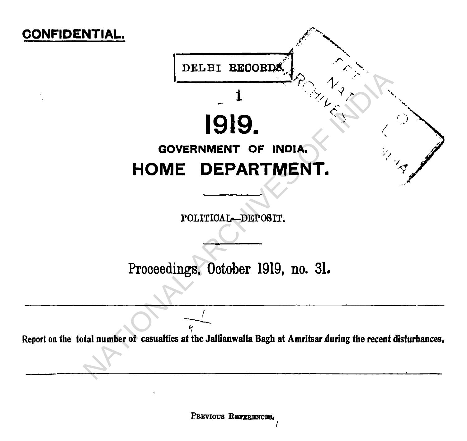

PREVIOUS REFERENCES.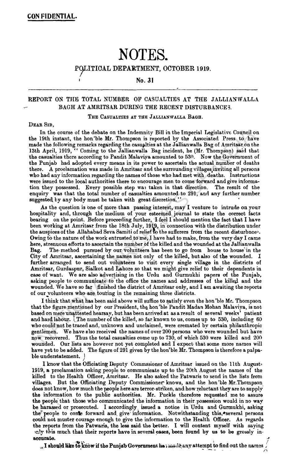# **NOTES.**

**POLITICAL DEPARTMENT, OCTOBER 1919.**

## No. 31

## REPORT ON THE TOTAL NUMBER OF CASUALTIES AT THE JALLIANWALLA BAGH AT AMRITSAR DURING THE RECENT DISTURBANCES.

### THE CASUALTIES AT THE JALLIANWALLA BAGH.

#### DEAR SIR.

In the course of the debate on the Indemnity Bill in the Imperial Legislative Council on the 19th instant, the hon'ble Mr. Thompson is reported by the Associated Press to have made the following remarks regarding the casualties at the Jallianwalla Bag of Amritsar on the 13th April, 1919, " Coming to the Jallianwalla Bag incident, he (Mr. Thompson) said that the casualties there according to Pandit Malaviya amounted to 530. Now the Government of the Punjab had adopted every means in its power to ascertain the actual number of deaths there. A proclamation was made in Amritsar and the surrounding villagesinviting all persons who had any information regarding the names of those who had met with deaths. Instructions were issued to the local authorities there to encourage men to come forward and give information they possessed. Every possible step was taken in that direction. The result of the tion they possessed. Every possible step was taken in that direction. enquiry was that the total number of casualties amounted to 291, and any further number suggested by any body must be taken with great discretion."

As the question is bne of more than passing interest, may I venture to intrude on your hospitality and, through the medium of your esteemed journal to state the correct facts bearing on the point. Before proceeding further, I feel I should mention the fact that I have been working at Amritsar from the 18th July, 1919, in connection with the distribution under the auspices of the Allahabad Seva Samiti of relief to the sufferers from the recent disturbnces. Owing to the nature of the work entrusted to me, I have had to make, from the very day I came here, strenuous efforts to ascertain the number of the killed and the wounded at the Jallianwalla Bag. The method pursued by our volunteers has been to go from house to house in the City of Amritsar, ascertaining the names not only of the killed, but also of the wounded. I further arranged to send out volunteers to visit every single village in the districts of Amritsar, Gurdaspur, Sialkot and Lahore so that we might give relief to their dependents in case of want. We are also advertising in the Urdu and Gurmukhi papers of the Punjab, asking people to communicate to the office the names and addresses of the killed and the wounded. We have so far finished the district of Amritsar only, and I am awaiting the reports of our volunteers who are touting in the remaining three districts. In the course of the debate on the Indemnity Bill in the Imperial Logislative Council 1981; in the Indianual is and the Almonity and the Associated Press of hasked in the horibin state. It has the Associated Press of the

I think that what has been said above will suffice to satisfy even the hon 'ble Mr. Thompson that the figure mentioned by our President, the hon'ble Pandit Madan Mohan Malaviya, is not based on mere unattested hearsay, but has been arrived at as a result of several weeks' patient and hard labour. The number of the killed, so far known to us, comes up to 530, including 60 who could not be traced and, unknown and unclaimed, were cremated by certain philanthropic gentlemen. We have also received the names of over 200 persons who were wounded but have now recovered. Thus the total casualties come up to 730, of which 530 were killed and 200 wounded. Our lists are however not yet completed and I expect that some more names will have yet to be added. The figure of 291 given by the hon'ble Mr. Thompson is therefore a palpable-understatement. *J*

I know that the Officiating Deputy Commssioner of Amritsar issued on the 11th August. 1919, a proclamation asking people to communicate up to the 20th August the names of the killed to the Health Officer, Amritsar. He also asked the Patwaris to send in the lists from villages. But the Officiating Deputy Commissioner knows, and the hon'ble Mr.Thompson does not know, how much the people here are terror-striken. and how reluctant they are to supply the information to the public authorities. Mr. Puckle therefore requested me to assure the people that those who communicated the information in their possession would in no wav be harassed or prosecuted. I accordingly issued a notice in Urdu and Gurmukhi, asking the? people to corfle forward and, give information. Notwithstanding this,♦several persons could not muster courage enough to give the information to the Health Officer. As regards the reports from the Patwaris, the less said the better. I will content myself with saying >r.!y this much that their reports have in several cases, been found by us to be grossly in**accurate.** The contract of the contract of the contract of the contract of the contract of the contract of the contract of the contract of the contract of the contract of the contract of the contract of the contract of th

 $\omega$  I should like to know if the Punjab Government has made any attempt to find out the names  $\sqrt{2}$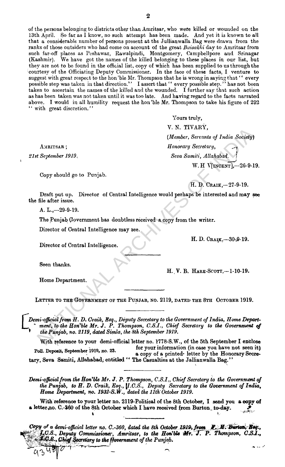of the persons belonging to districts other than Amritsar, who wefe killed or wounded on the 13th April. So far as I know, no such attempt has been made. And yet it is known to all that a considerable number of persons present at the Jullianwalla Bag were drawn from the ranks of those outsiders who had come on account of the great *Buisakhi* day to Amritsar from such far-off places as Peshawar, Rawalpindi, Montgomery, Campbellpore and Srinagar (Kashmir). We have got the names of the killed belonging to these places in our list, but We have got the names of the killed belonging to these places in our list, but they are not to be found in the official list, copy of which has been supplied to us through the courtesy of the Officiating Deputy Commissioner. In the face of these facts, I venture to suggest with great respect to the hon 'ble Mr. Thompson that he is wrong in saying that '' every possible step was taken in that direction." I assert that " every possible step." has not been taken to ascertain the names of the killed and the wounded. I further say that such action as has been taken was not taken until it was too late. And having regard to the facts narrated above. I would in all humility request the hon'ble Mr. Thompson to take his figure of 292 " with great discretion."

AMRITSAR ;

*21st September 1919.*

Copy should go to Punjab.

Yours truly, **Y. N. TIVARY,** *(Member, Servants of India Society) Honorary Secretary, ^* i *Seva Samiti, Allahabad.* } W. H V[incent],—20-9-19.

H. D. Craik,—27-9-19.

H. D. CRAIK, -- 30-9-19.

Draft put up. Director of Central Intelligence would perhaps be interested and may see the file after issue.

A. L.,—29-9-19.

The Punjab Government has doubtless received a copy from the writer.

Director of Central Intelligence may see.

Director of Central Intelligence.

Seen thanks.

Home Department.

*1*

H. V. B. HARE-SCOTT,-1-10-19.

LETTER TO THE GOVERNMENT OF THE PUNJAB, NO. 2119, DATED THE 8TH OCTOBER 1919.

Demi-official from H. D. Craik, Esq., Deputy Secretary to the Government of India, Home Department, to the Hon'ble Mr. J. P. Thompson, C.S.I., Chief Secretary to the Government of **\*** *the Punjab, no. 2119, dated Simla, the 8th September 1919.* V. N. TVARY<br>
(Member 1919.<br>
MARITSAR ; (Member 1919.<br>
M. H. Vientary, Severatry, Severatry, Severatry, Severatry, Severatry, Severatry, Severatry, Severatry, Severatry, Severatry, Severatry, Severatry, Severatry, Severatr

With reference to your demi-official letter no. 1778-S.W., of the 5th September I enclose Poll. Deposit, September 1919, no. 23. for your information (in case you have not seen it) a copy of a printed. letter by the Honorary Secretary, Seva Samiti, Allahabad, entitled " The Casualties at the Jallianwalla Bag."

*Demi-official from the Hon'ble Mr. J. P. Thompson, C.S.I., Chief Secretary to the Government of the Punjab, to H. D. Craik, Esq.,* [Z.C.S., *Deputy Secretary to the Government of India, Rome Department, no. 1932-S.W., dated the 1 I lk October 1919.*

With reference to your letter no. 2119-Political of the 8th October, I send you a copy of a letter mo. C.-360 of the 8th October which 1 have received (rom Burton to-day. e.<br>Albe is the contract of the contract of the contract of the contract of the contract of the contract of the contract of the contract of the contract of the contract of the contract of the contract of the contract of the contra

*Copy of a demi-official letter no C.-360, dated the 8th October 1919, from the Hon'ble Mr. of the Punjab. Thompson, C JSJ.,*